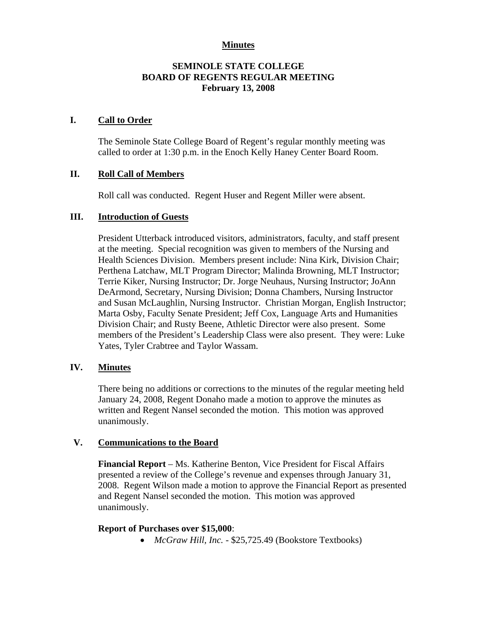### **Minutes**

# **SEMINOLE STATE COLLEGE BOARD OF REGENTS REGULAR MEETING February 13, 2008**

### **I. Call to Order**

The Seminole State College Board of Regent's regular monthly meeting was called to order at 1:30 p.m. in the Enoch Kelly Haney Center Board Room.

## **II. Roll Call of Members**

Roll call was conducted. Regent Huser and Regent Miller were absent.

## **III. Introduction of Guests**

President Utterback introduced visitors, administrators, faculty, and staff present at the meeting. Special recognition was given to members of the Nursing and Health Sciences Division. Members present include: Nina Kirk, Division Chair; Perthena Latchaw, MLT Program Director; Malinda Browning, MLT Instructor; Terrie Kiker, Nursing Instructor; Dr. Jorge Neuhaus, Nursing Instructor; JoAnn DeArmond, Secretary, Nursing Division; Donna Chambers, Nursing Instructor and Susan McLaughlin, Nursing Instructor. Christian Morgan, English Instructor; Marta Osby, Faculty Senate President; Jeff Cox, Language Arts and Humanities Division Chair; and Rusty Beene, Athletic Director were also present. Some members of the President's Leadership Class were also present. They were: Luke Yates, Tyler Crabtree and Taylor Wassam.

# **IV. Minutes**

There being no additions or corrections to the minutes of the regular meeting held January 24, 2008, Regent Donaho made a motion to approve the minutes as written and Regent Nansel seconded the motion. This motion was approved unanimously.

#### **V. Communications to the Board**

**Financial Report** – Ms. Katherine Benton, Vice President for Fiscal Affairs presented a review of the College's revenue and expenses through January 31, 2008. Regent Wilson made a motion to approve the Financial Report as presented and Regent Nansel seconded the motion. This motion was approved unanimously.

#### **Report of Purchases over \$15,000**:

• *McGraw Hill, Inc. -* \$25,725.49 (Bookstore Textbooks)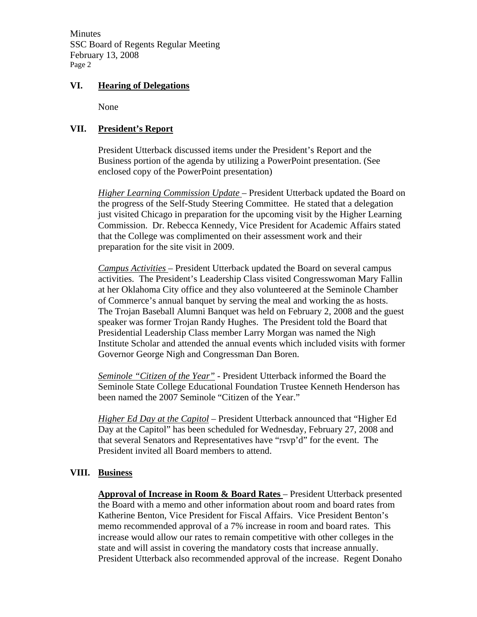Minutes SSC Board of Regents Regular Meeting February 13, 2008 Page 2

### **VI. Hearing of Delegations**

None

# **VII. President's Report**

President Utterback discussed items under the President's Report and the Business portion of the agenda by utilizing a PowerPoint presentation. (See enclosed copy of the PowerPoint presentation)

*Higher Learning Commission Update* – President Utterback updated the Board on the progress of the Self-Study Steering Committee. He stated that a delegation just visited Chicago in preparation for the upcoming visit by the Higher Learning Commission. Dr. Rebecca Kennedy, Vice President for Academic Affairs stated that the College was complimented on their assessment work and their preparation for the site visit in 2009.

*Campus Activities* – President Utterback updated the Board on several campus activities. The President's Leadership Class visited Congresswoman Mary Fallin at her Oklahoma City office and they also volunteered at the Seminole Chamber of Commerce's annual banquet by serving the meal and working the as hosts. The Trojan Baseball Alumni Banquet was held on February 2, 2008 and the guest speaker was former Trojan Randy Hughes. The President told the Board that Presidential Leadership Class member Larry Morgan was named the Nigh Institute Scholar and attended the annual events which included visits with former Governor George Nigh and Congressman Dan Boren.

*Seminole "Citizen of the Year"* - President Utterback informed the Board the Seminole State College Educational Foundation Trustee Kenneth Henderson has been named the 2007 Seminole "Citizen of the Year."

*Higher Ed Day at the Capitol* – President Utterback announced that "Higher Ed Day at the Capitol" has been scheduled for Wednesday, February 27, 2008 and that several Senators and Representatives have "rsvp'd" for the event. The President invited all Board members to attend.

#### **VIII. Business**

**Approval of Increase in Room & Board Rates** – President Utterback presented the Board with a memo and other information about room and board rates from Katherine Benton, Vice President for Fiscal Affairs. Vice President Benton's memo recommended approval of a 7% increase in room and board rates. This increase would allow our rates to remain competitive with other colleges in the state and will assist in covering the mandatory costs that increase annually. President Utterback also recommended approval of the increase. Regent Donaho